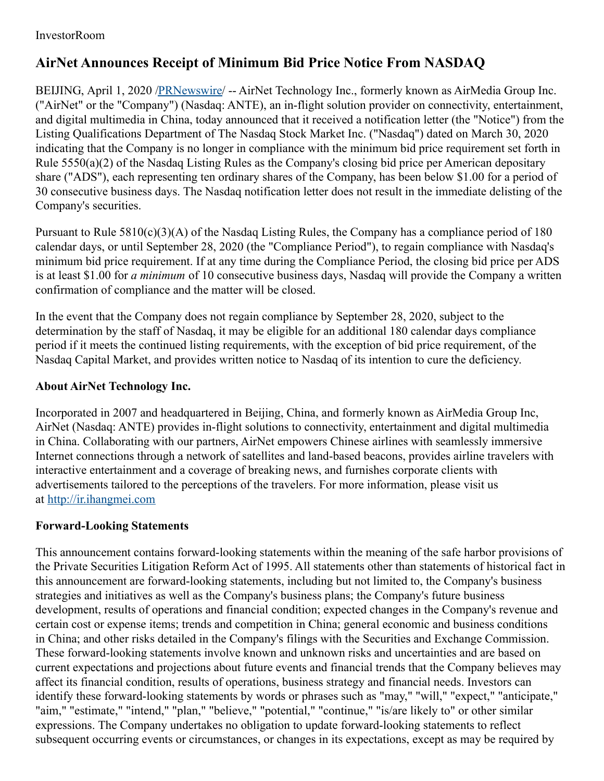## InvestorRoom

## **AirNet Announces Receipt of Minimum Bid Price Notice From NASDAQ**

BEIJING, April 1, 2020 [/PRNewswire](http://www.prnewswire.com/)/ -- AirNet Technology Inc., formerly known as AirMedia Group Inc. ("AirNet" or the "Company") (Nasdaq: ANTE), an in-flight solution provider on connectivity, entertainment, and digital multimedia in China, today announced that it received a notification letter (the "Notice") from the Listing Qualifications Department of The Nasdaq Stock Market Inc. ("Nasdaq") dated on March 30, 2020 indicating that the Company is no longer in compliance with the minimum bid price requirement set forth in Rule 5550(a)(2) of the Nasdaq Listing Rules as the Company's closing bid price per American depositary share ("ADS"), each representing ten ordinary shares of the Company, has been below \$1.00 for a period of 30 consecutive business days. The Nasdaq notification letter does not result in the immediate delisting of the Company's securities.

Pursuant to Rule 5810(c)(3)(A) of the Nasdaq Listing Rules, the Company has a compliance period of 180 calendar days, or until September 28, 2020 (the "Compliance Period"), to regain compliance with Nasdaq's minimum bid price requirement. If at any time during the Compliance Period, the closing bid price per ADS is at least \$1.00 for *a minimum* of 10 consecutive business days, Nasdaq will provide the Company a written confirmation of compliance and the matter will be closed.

In the event that the Company does not regain compliance by September 28, 2020, subject to the determination by the staff of Nasdaq, it may be eligible for an additional 180 calendar days compliance period if it meets the continued listing requirements, with the exception of bid price requirement, of the Nasdaq Capital Market, and provides written notice to Nasdaq of its intention to cure the deficiency.

## **About AirNet Technology Inc.**

Incorporated in 2007 and headquartered in Beijing, China, and formerly known as AirMedia Group Inc, AirNet (Nasdaq: ANTE) provides in-flight solutions to connectivity, entertainment and digital multimedia in China. Collaborating with our partners, AirNet empowers Chinese airlines with seamlessly immersive Internet connections through a network of satellites and land-based beacons, provides airline travelers with interactive entertainment and a coverage of breaking news, and furnishes corporate clients with advertisements tailored to the perceptions of the travelers. For more information, please visit us at [http://ir.ihangmei.com](http://ir.ihangmei.com/)

## **Forward-Looking Statements**

This announcement contains forward-looking statements within the meaning of the safe harbor provisions of the Private Securities Litigation Reform Act of 1995. All statements other than statements of historical fact in this announcement are forward-looking statements, including but not limited to, the Company's business strategies and initiatives as well as the Company's business plans; the Company's future business development, results of operations and financial condition; expected changes in the Company's revenue and certain cost or expense items; trends and competition in China; general economic and business conditions in China; and other risks detailed in the Company's filings with the Securities and Exchange Commission. These forward-looking statements involve known and unknown risks and uncertainties and are based on current expectations and projections about future events and financial trends that the Company believes may affect its financial condition, results of operations, business strategy and financial needs. Investors can identify these forward-looking statements by words or phrases such as "may," "will," "expect," "anticipate," "aim," "estimate," "intend," "plan," "believe," "potential," "continue," "is/are likely to" or other similar expressions. The Company undertakes no obligation to update forward-looking statements to reflect subsequent occurring events or circumstances, or changes in its expectations, except as may be required by